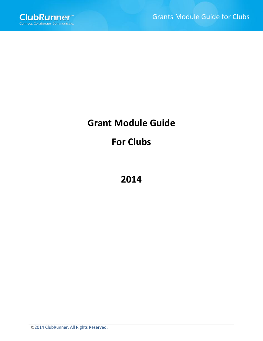# **Grant Module Guide**

# **For Clubs**

**2014**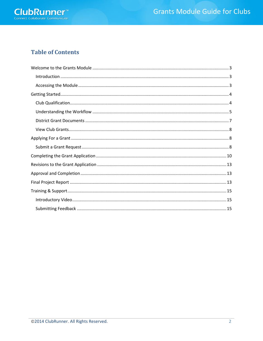

### **Table of Contents**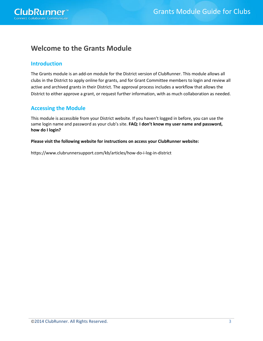ClubRunner®

### **Welcome to the Grants Module**

#### **Introduction**

The Grants module is an add-on module for the District version of ClubRunner. This module allows all clubs in the District to apply online for grants, and for Grant Committee members to login and review all active and archived grants in their District. The approval process includes a workflow that allows the District to either approve a grant, or request further information, with as much collaboration as needed.

### **Accessing the Module**

This module is accessible from your District website. If you haven't logged in before, you can use the same login name and password as your club's site. **FAQ: I don't know my user name and password, how do I login?** 

#### **Please visit the following website for instructions on access your ClubRunner website:**

<https://www.clubrunnersupport.com/kb/articles/how-do-i-log-in-district>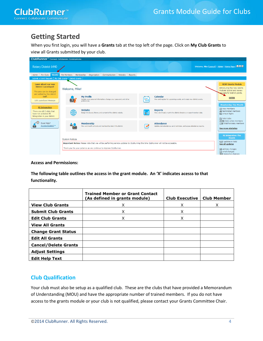# **Getting Started**

When you first login, you will have a **Grants** tab at the top left of the page. Click on **My Club Grants** to view all Grants submitted by your club.



#### **Access and Permissions:**

**The following table outlines the access in the grant module. An 'X' indicates acesss to that functionality.**

|                             | <b>Trained Member or Grant Contact</b><br>(As defined in grants module) | <b>Club Executive</b> | <b>Club Member</b> |
|-----------------------------|-------------------------------------------------------------------------|-----------------------|--------------------|
| <b>View Club Grants</b>     | Χ                                                                       | x                     | Χ                  |
| <b>Submit Club Grants</b>   | Χ                                                                       | x                     |                    |
| <b>Edit Club Grants</b>     | X                                                                       | X                     |                    |
| <b>View All Grants</b>      |                                                                         |                       |                    |
| <b>Change Grant Status</b>  |                                                                         |                       |                    |
| <b>Edit All Grants</b>      |                                                                         |                       |                    |
| <b>Cancel/Delete Grants</b> |                                                                         |                       |                    |
| <b>Adjust Settings</b>      |                                                                         |                       |                    |
| <b>Edit Help Text</b>       |                                                                         |                       |                    |

#### **Club Qualification**

Your club must also be setup as a qualified club. These are the clubs that have provided a Memorandum of Understanding (MOU) and have the appropriate number of trained members. If you do not have access to the grants module or your club is not qualified, please contact your Grants Committee Chair.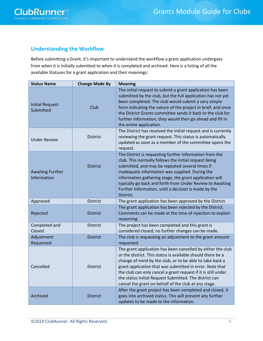

#### **Understanding the Workflow**

Before submitting a Grant, it's important to understand the workflow a grant application undergoes from when it is initially submitted to when it is completed and archived. Here is a listing of all the available Statuses for a grant application and their meanings:

| <b>Status Name</b>                     | <b>Change Made By</b> | <b>Meaning</b>                                                                                                                                                                                                                                                                                                                                                                                                                        |
|----------------------------------------|-----------------------|---------------------------------------------------------------------------------------------------------------------------------------------------------------------------------------------------------------------------------------------------------------------------------------------------------------------------------------------------------------------------------------------------------------------------------------|
| <b>Initial Request</b><br>Submitted    | Club                  | The initial request to submit a grant application has been<br>submitted by the club, but the full application has not yet<br>been completed. The club would submit a very simple<br>form indicating the nature of the project in brief, and once<br>the District Grants committee sends it back to the club for<br>further information, they would then go ahead and fill in<br>the entire application.                               |
| <b>Under Review</b>                    | <b>District</b>       | The District has received the initial request and is currently<br>reviewing the grant request. This status is automatically<br>updated as soon as a member of the committee opens the<br>request.                                                                                                                                                                                                                                     |
| <b>Awaiting Further</b><br>Information | <b>District</b>       | The District is requesting further information from the<br>club. This normally follows the initial request being<br>submitted, and may be repeated several times if<br>inadequate information was supplied. During the<br>information gathering stage, the grant application will<br>typically go back and forth from Under Review to Awaiting<br>Further Information, until a decision is made by the<br>District.                   |
| Approved                               | <b>District</b>       | The grant application has been approved by the District.                                                                                                                                                                                                                                                                                                                                                                              |
| Rejected                               | <b>District</b>       | The grant application has been rejected by the District.<br>Comments can be made at the time of rejection to explain<br>reasoning.                                                                                                                                                                                                                                                                                                    |
| Completed and<br>Closed                | <b>District</b>       | The project has been completed and this grant is<br>considered closed; no further changes can be made.                                                                                                                                                                                                                                                                                                                                |
| Adjustment<br>Requested                | <b>District</b>       | The club is requesting an adjustment to the grant amount<br>requested.                                                                                                                                                                                                                                                                                                                                                                |
| Cancelled                              | <b>District</b>       | The grant application has been cancelled by either the club<br>or the district. This status is available should there be a<br>change of mind by the club, or to be able to take back a<br>grant application that was submitted in error. Note that<br>the club can only cancel a grant request if it is still under<br>the status Initial Request Submitted. The district can<br>cancel the grant on behalf of the club at any stage. |
| Archived                               | <b>District</b>       | After the grant project has been completed and closed, it<br>goes into archived status. This will prevent any further<br>updates to be made to the information.                                                                                                                                                                                                                                                                       |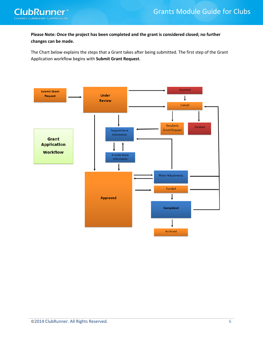

**Please Note: Once the project has been completed and the grant is considered closed; no further changes can be made.**

The Chart below explains the steps that a Grant takes after being submitted. The first step of the Grant Application workflow begins with **Submit Grant Request**.

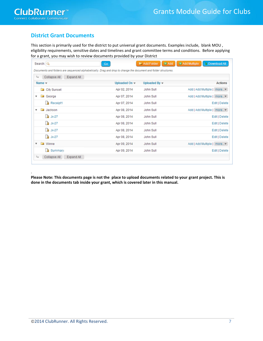.

### **District Grant Documents**

This section is primarily used for the district to put universal grant documents. Examples include, blank MOU , eligibility requirements, sensitive dates and timelines and grant committee terms and conditions. Before applying for a grant, you may wish to review documents provided by your District

| Collapse All<br>$L_{b}$<br>Expand All               |                                  |                       |                            |
|-----------------------------------------------------|----------------------------------|-----------------------|----------------------------|
| Name $\mathbf$                                      | Uploaded On $\blacktriangledown$ | Uploaded By $\mathbf$ | <b>Actions</b>             |
| City Sunset                                         | Apr 02, 2014                     | John Sull             | Add   Add Multiple   more▼ |
| George                                              | Apr 07, 2014                     | John Sull             | Add   Add Multiple   more▼ |
| <b>A</b> Receipt1                                   | Apr 07, 2014                     | John Sull             | Edit   Delete              |
| Jackson<br>$\boldsymbol{\mathrm{v}}$                | Apr 08, 2014                     | John Sull             | Add   Add Multiple   more▼ |
| $A$ Jx-27                                           | Apr 08, 2014                     | John Sull             | Edit   Delete              |
| $A$ Jx-27                                           | Apr 08, 2014                     | John Sull             | Edit   Delete              |
| $A$ Jx-27                                           | Apr 08, 2014                     | John Sull             | Edit   Delete              |
| $A$ Jx-27                                           | Apr 08, 2014                     | John Sull             | Edit   Delete              |
| <b>Contract</b><br>$\overline{\mathbf{v}}$<br>Winne | Apr 09, 2014                     | John Sull             | Add   Add Multiple   more▼ |
| <b>A</b> Summary:                                   | Apr 09, 2014                     | John Sull             | Edit   Delete              |

**Please Note: This documents page is not the place to upload documents related to your grant project. This is done in the documents tab inside your grant, which is covered later in this manual.**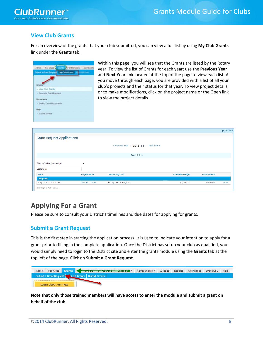

### **View Club Grants**

For an overview of the grants that your club submitted, you can view a full list by using **My Club Grants** link under the **Grants** tab.



Within this page, you will see that the Grants are listed by the Rotary year. To view the list of Grants for each year; use the **Previous Year** and **Next Year** link located at the top of the page to view each list. As you move through each page, you are provided with a list of all your club's projects and their status for that year. To view project details or to make modifications, click on the project name or the Open link to view the project details.

|                                   |                        |                                         |                         |                     | $\leftarrow$ Go back |
|-----------------------------------|------------------------|-----------------------------------------|-------------------------|---------------------|----------------------|
| <b>Grant Request Applications</b> |                        |                                         |                         |                     |                      |
|                                   |                        | « Previous Year   2013-14   Next Year » |                         |                     |                      |
|                                   |                        | <b>Any Status</b>                       |                         |                     |                      |
| Filter by Status: Any Status      |                        |                                         |                         |                     |                      |
| Search: Q                         |                        |                                         |                         |                     |                      |
| <b>Date</b>                       | <b>Project Name</b>    | <b>Sponsoring Club</b>                  | <b>Estimated Budget</b> | <b>Grant Amount</b> |                      |
| <b>Completed</b>                  |                        |                                         |                         |                     |                      |
| Aug 21, 2013 at 4:55 PM           | <b>Operation Coats</b> | Rotary Club of Heights                  | \$2,000.00              | \$1,000.00          | Open                 |
| Showing 1 to 1 of 1 entries       |                        |                                         |                         |                     |                      |

### **Applying For a Grant**

Please be sure to consult your District's timelines and due dates for applying for grants.

#### **Submit a Grant Request**

This is the first step in starting the application process. It is used to indicate your intention to apply for a grant prior to filling in the complete application. Once the District has setup your club as qualified, you would simply need to login to the District site and enter the grants module using the **Grants** tab at the top left of the page. Click on **Submit a Grant Request.**

| Admin | For Clubs Grants    | <b>Contemporare Mag</b>                              | Communication | Website | Reports | Attendance Events 2.0 | Help |
|-------|---------------------|------------------------------------------------------|---------------|---------|---------|-----------------------|------|
|       |                     | Submit a Grant Request Club Grants   District Grants |               |         |         |                       |      |
|       | Learn about our new |                                                      |               |         |         |                       |      |

**Note that only those trained members will have access to enter the module and submit a grant on behalf of the club.**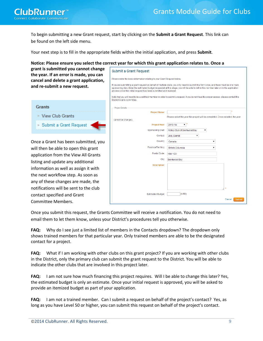

To begin submitting a new Grant request, start by clicking on the **Submit a Grant Request**. This link can be found on the left side menu.

Your next step is to fill in the appropriate fields within the initial application, and press **Submit**.

#### **Notice: Please ensure you select the correct year for which this grant application relates to. Once a**

Submit a Grant Request

Please enter the basic information relating to your Grant Request below

**grant is submitted you cannot change the year. If an error is made, you can cancel and delete a grant application, and re-submit a new request.**

#### **Grants**

- ▶ View Club Grants
- ▶ Submit a Grant Request

Once a Grant has been submitted, you will then be able to open this grant application from the View All Grants listing and update any additional information as well as assign it with the next workflow step. As soon as any of these changes are made, the notifications will be sent to the club contact specified and Grant Committee Members.

| process once this initial request has been submitted and reviewed. | If you are submitting a grant request on behalf of multiple clubs, you only need to submit this form once, and there must be one main<br>sponsoring club. Enter the estimated budget requested at this stage; you will be able to refine this number later on in the application |
|--------------------------------------------------------------------|----------------------------------------------------------------------------------------------------------------------------------------------------------------------------------------------------------------------------------------------------------------------------------|
| District Grants committee.                                         | Note that you will need to be a certified member in order to submit a request. If you do not have the proper access, please contact the                                                                                                                                          |
| <b>Project Details</b>                                             |                                                                                                                                                                                                                                                                                  |
| <b>Project Name:</b>                                               |                                                                                                                                                                                                                                                                                  |
| cannot be changed.                                                 | Please select the year this project will be completed. Once selected, the year                                                                                                                                                                                                   |
| Project Year:                                                      | $2013 - 14$<br>۷.                                                                                                                                                                                                                                                                |
| Sponsoring Club:                                                   | Rotary Club of Brentwood Bay<br>▼                                                                                                                                                                                                                                                |
| Contact                                                            | Jolly, Darrell<br>▼                                                                                                                                                                                                                                                              |
| Country:                                                           | Canada<br>۷.                                                                                                                                                                                                                                                                     |
| Province/Territory:                                                | <b>British Columbia</b><br>۷.                                                                                                                                                                                                                                                    |
| Postal Code:                                                       | <b>V8M 1C3</b>                                                                                                                                                                                                                                                                   |
| City:                                                              | <b>Brentwood Bay</b>                                                                                                                                                                                                                                                             |
| <b>Description:</b>                                                |                                                                                                                                                                                                                                                                                  |
|                                                                    |                                                                                                                                                                                                                                                                                  |
|                                                                    |                                                                                                                                                                                                                                                                                  |
|                                                                    |                                                                                                                                                                                                                                                                                  |
|                                                                    | ×                                                                                                                                                                                                                                                                                |
| <b>Estimated Budget:</b>                                           | (USD)                                                                                                                                                                                                                                                                            |
|                                                                    | Cancel<br>Submit                                                                                                                                                                                                                                                                 |

Once you submit this request, the Grants Committee will receive a notification. You do not need to email them to let them know, unless your District's procedures tell you otherwise.

**FAQ:** Why do I see just a limited list of members in the Contacts dropdown? The dropdown only shows trained members for that particular year. Only trained members are able to be the designated contact for a project.

**FAQ:** What if I am working with other clubs on this grant project? If you are working with other clubs in the District, only the primary club can submit the grant request to the District. You will be able to indicate the other clubs that are involved in this project later.

**FAQ:** I am not sure how much financing this project requires. Will I be able to change this later? Yes, the estimated budget is only an estimate. Once your initial request is approved, you will be asked to provide an itemized budget as part of your application.

**FAQ:** I am not a trained member. Can I submit a request on behalf of the project's contact? Yes, as long as you have Level 50 or higher, you can submit this request on behalf of the project's contact.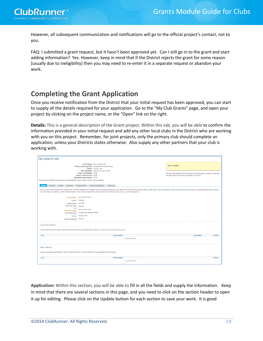However, all subsequent communication and notifications will go to the official project's contact, not to you.

FAQ: I submitted a grant request, but it hasn't been approved yet. Can I still go in to the grant and start adding information? Yes. However, keep in mind that if the District rejects the grant for some reason (usually due to ineligibility) then you may need to re-enter it in a separate request or abandon your work.

# **Completing the Grant Application**

Once you receive notification from the District that your initial request has been approved, you can start to supply all the details required for your application. Go to the "My Club Grants" page, and open your project by clicking on the project name, or the "Open" link on the right.

**Details:** This is a general description of the Grant project. Within this tab, you will be able to confirm the information provided in your initial request and add any other local clubs in the District who are working with you on this project. Remember, for joint projects, only the primary club should complete an application, unless your Districts states otherwise. Also supply any other partners that your club is working with.

| Day Camp for kids                                                                                                                                                                                                                                                                                                       |                                                                                                                                                                                                                                                                                                                   |                     |                                                                                                                                                                                                                                                                                                                                                                                               |
|-------------------------------------------------------------------------------------------------------------------------------------------------------------------------------------------------------------------------------------------------------------------------------------------------------------------------|-------------------------------------------------------------------------------------------------------------------------------------------------------------------------------------------------------------------------------------------------------------------------------------------------------------------|---------------------|-----------------------------------------------------------------------------------------------------------------------------------------------------------------------------------------------------------------------------------------------------------------------------------------------------------------------------------------------------------------------------------------------|
|                                                                                                                                                                                                                                                                                                                         |                                                                                                                                                                                                                                                                                                                   |                     |                                                                                                                                                                                                                                                                                                                                                                                               |
| Click on any of the tabs below to access and update the various sections of this Grant application.<br><b>Details</b><br>Budget<br>Application<br>Documents<br>only the initial grant request amount; to outline details on the various budget items, including those from other funding sources, go to the Budget tab. | Grant Project: Day Camp for kids<br>Primary Sponsoring Club: ClubRunner Website Service<br>Contact: Truong, Vinh<br>Date Submitted: Sep 05, 2013 at 5:12 PM<br>Project Total Budget: \$0.00<br>Project Total Financing: \$0.00<br>Requested Grant Amount: \$0.00<br>Project Overview<br>Individual Project Report | Activity Log        | <b>Status: Funded</b><br>Please note, updates to the project and grant information cannot be made after<br>the status has been marked completed or archived<br>This is a General description of the Grant project. Outline in detail the humanitarian need your project will address, the intent of the project, how the project will be implemented, and how Rotarians will be directly invo |
| <b>Project Name:</b><br>Country:<br>State/Province:<br>Zip/Postal Code:<br>City:<br><b>Brief Description:</b><br><b>Sponsoring Club:</b><br>Estimated Budget: \$100.00                                                                                                                                                  | Day Camp for kids<br>Canada<br><b>L6H 5R7</b><br>Oakville<br>Day Camp for kids<br>ClubRunner Website Service<br>Contact: Truong, Vinh                                                                                                                                                                             |                     |                                                                                                                                                                                                                                                                                                                                                                                               |
| <b>Local Club Partners</b><br>List any partnering clubs within the District. Note that only one grant application needs to be made by the main sponsoring club.                                                                                                                                                         |                                                                                                                                                                                                                                                                                                                   |                     |                                                                                                                                                                                                                                                                                                                                                                                               |
| <b>Club</b>                                                                                                                                                                                                                                                                                                             |                                                                                                                                                                                                                                                                                                                   | <b>Contact Name</b> | Contribution<br><b>Actions</b>                                                                                                                                                                                                                                                                                                                                                                |
|                                                                                                                                                                                                                                                                                                                         |                                                                                                                                                                                                                                                                                                                   | No club specified   |                                                                                                                                                                                                                                                                                                                                                                                               |
|                                                                                                                                                                                                                                                                                                                         |                                                                                                                                                                                                                                                                                                                   |                     |                                                                                                                                                                                                                                                                                                                                                                                               |
| <b>Other Partners</b><br>List any cooperating organizations, clubs outside the district, or other partners that are participating in this project.                                                                                                                                                                      |                                                                                                                                                                                                                                                                                                                   |                     |                                                                                                                                                                                                                                                                                                                                                                                               |
| Club                                                                                                                                                                                                                                                                                                                    |                                                                                                                                                                                                                                                                                                                   | <b>Contact Name</b> | <b>Actions</b>                                                                                                                                                                                                                                                                                                                                                                                |

**Application:** Within this section, you will be able to fill in all the fields and supply the information. Keep in mind that there are several sections in this page, and you need to click on the section header to open it up for editing. Please click on the Update button for each section to save your work. It is good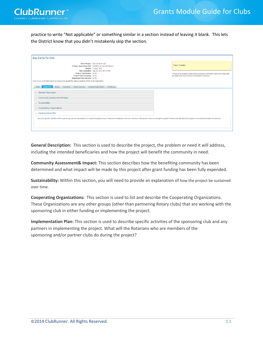

practice to write "Not applicable" or something similar in a section instead of leaving it blank. This lets the District know that you didn't mistakenly skip the section.

| Day Camp for kids                                                                                                                                                                                                                                                |                                                                                                                                                             |
|------------------------------------------------------------------------------------------------------------------------------------------------------------------------------------------------------------------------------------------------------------------|-------------------------------------------------------------------------------------------------------------------------------------------------------------|
| Grant Project: Day Camp for kids<br>Primary Sponsoring Club: ClubRunner Website Service<br>Contact: Truong, Vinh<br>Date Submitted: Sep 05, 2013 at 5:12 PM<br>Project Total Budget: \$0.00<br>Project Total Financing: \$0.00<br>Requested Grant Amount: \$0.00 | <b>Status: Funded</b><br>Please note, updates to the project and grant information cannot be made after<br>the status has been marked completed or archived |
| Click on any of the tabs below to access and update the various sections of this Grant application.                                                                                                                                                              |                                                                                                                                                             |
| Individual Project Report<br>Activity Log<br><b>Details</b><br>Budget<br><b>Documents</b><br>Project Overview<br><b>Application</b>                                                                                                                              |                                                                                                                                                             |
| General Description                                                                                                                                                                                                                                              |                                                                                                                                                             |
| Community Assessment & Impact                                                                                                                                                                                                                                    |                                                                                                                                                             |
| > Sustainability                                                                                                                                                                                                                                                 |                                                                                                                                                             |
| <b>Cooperating Organizations</b>                                                                                                                                                                                                                                 |                                                                                                                                                             |
| - Implementation Plan                                                                                                                                                                                                                                            |                                                                                                                                                             |
| Describe specific activities of the sponsoring club and any partners in implementing the project. What will the Rotarians who are members of the partner clubs do during the project? Please note that financial support is no                                   |                                                                                                                                                             |

**General Description:** This section is used to describe the project, the problem or need it will address, including the intended beneficiaries and how the project will benefit the community in need.

**Community Assessment& Impact:** This section describes how the benefiting community has been determined and what impact will be made by this project after grant funding has been fully expended.

**Sustainability:** Within this section, you will need to provide an explanation of how the project be sustained over time.

**Cooperating Organizations:** This section is used to list and describe the Cooperating Organizations. These Organizations are any other groups (other than partnering Rotary clubs) that are working with the sponsoring club in either funding or implementing the project.

**Implementation Plan:** This section is used to describe specific activities of the sponsoring club and any partners in implementing the project. What will the Rotarians who are members of the sponsoring and/or partner clubs do during the project?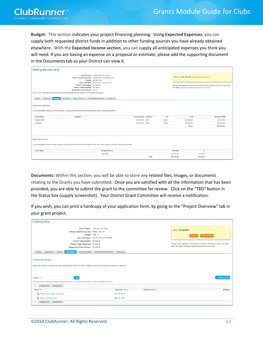**Budget:** This section indicates your project financing planning. Using **Expected Expenses**, you can supply both requested district funds in addition to other funding sources you have already obtained elsewhere. With the **Expected Income section**, you can supply all anticipated expenses you think you will need. If you are basing an expense on a proposal or estimate, please add the supporting document in the Documents tab so your District can view it.

| Helping the kids camp                                                                                                                                                                                                                                                                                                                                                               |                              |        |                                                                                                     |                                                                                |
|-------------------------------------------------------------------------------------------------------------------------------------------------------------------------------------------------------------------------------------------------------------------------------------------------------------------------------------------------------------------------------------|------------------------------|--------|-----------------------------------------------------------------------------------------------------|--------------------------------------------------------------------------------|
| Grant Project: Helping the kids camp<br>Primary Sponsoring Club: ClubRunner Website Service<br>Contact: Murrell, Ron<br>Date Submitted: Sep 05, 2013 at 4:57 PM<br>Project Total Budget: \$8,700.00<br>Project Total Financing: \$8,700.00<br>Requested Grant Amount: \$0.00<br>Click on any of the tabs below to access and update the various sections of this Grant application. |                              |        | Status: Under Review (Request opened for view.)<br>the status has been marked completed or archived | Please note, updates to the project and grant information cannot be made after |
|                                                                                                                                                                                                                                                                                                                                                                                     |                              |        |                                                                                                     |                                                                                |
| Individual Project Report<br><b>Details</b><br>Application<br><b>Budget</b><br><b>Documents</b><br>Project Overview                                                                                                                                                                                                                                                                 | Activity Log                 |        |                                                                                                     |                                                                                |
| <b>Expected Expenses</b><br>List all anticipated expenses for this project, including those that will be funded outside of the District grant portion.                                                                                                                                                                                                                              |                              |        |                                                                                                     |                                                                                |
|                                                                                                                                                                                                                                                                                                                                                                                     |                              |        |                                                                                                     |                                                                                |
| <b>Description</b><br>Supplier                                                                                                                                                                                                                                                                                                                                                      | <b>Local Amount Currency</b> | Tax    | Total                                                                                               | <b>Amount (USD)</b>                                                            |
| labour costs                                                                                                                                                                                                                                                                                                                                                                        | \$2,500.00 USD               | \$0.00 | \$2,500.00                                                                                          | \$2,500.00                                                                     |
| <b>Materials</b>                                                                                                                                                                                                                                                                                                                                                                    | \$6,200.00 USD               | \$0.00 | \$6,200.00                                                                                          | \$6,200.00                                                                     |
|                                                                                                                                                                                                                                                                                                                                                                                     |                              |        | Total:                                                                                              | \$8,700.00                                                                     |
| <b>Expected Income</b>                                                                                                                                                                                                                                                                                                                                                              |                              |        |                                                                                                     |                                                                                |
|                                                                                                                                                                                                                                                                                                                                                                                     |                              |        |                                                                                                     |                                                                                |
| List all anticipated income for this project, including funds that will be contributed by the club, other partners and the District grant portion.                                                                                                                                                                                                                                  |                              |        |                                                                                                     |                                                                                |
| <b>Description</b><br><b>Funding Source</b>                                                                                                                                                                                                                                                                                                                                         |                              |        | <b>Amount</b>                                                                                       | %                                                                              |
| Club/Other                                                                                                                                                                                                                                                                                                                                                                          |                              |        | \$8,700.00                                                                                          | 100.00 %                                                                       |

**Documents:** Within this section, you will be able to store any related files, images, or documents relating to the Grants you have submitted. Once you are satisfied with all the information that has been provided, you are able to submit the grant to the committee for review. Click on the "TBD" button in the Status box (supply screenshot). Your District Grant Committee will receive a notification.

If you wish, you can print a hardcopy of your application form, by going to the "Project Overview" tab in your grant project.

| <b>Culinary Arts</b>                                                                                                                                                            |                                                                                |                                  |                                  |                                                                                                                                                                                                  |
|---------------------------------------------------------------------------------------------------------------------------------------------------------------------------------|--------------------------------------------------------------------------------|----------------------------------|----------------------------------|--------------------------------------------------------------------------------------------------------------------------------------------------------------------------------------------------|
| Primary Sponsoring Club: Rotary Club of T<br>Contact: Poth, T.<br>Project Total Budget: \$8,000.00<br>Project Total Financing: \$8,000.00<br>Requested Grant Amount: \$2,000.00 | Grant Project: Culinary Arts Class.<br>Date Submitted: Oct 25, 2013 at 9:23 PM |                                  |                                  | <b>Status: Completed</b><br><b>Cancel Grant</b><br>Archive<br>Please note, updates to the project and grant information cannot be made<br>after the status has been marked completed or archived |
| Project Overview<br><b>Details</b><br>Application<br>Budget<br><b>Documents</b>                                                                                                 | Individual Project Report                                                      | Activity Log                     |                                  |                                                                                                                                                                                                  |
| <b>Project Documents</b><br>Upload all related documents and files including the Club President's signature and the beneficiary acceptence signature.<br>Search: Q<br>Go        |                                                                                |                                  |                                  | Download All                                                                                                                                                                                     |
| Documents and folders are sequenced alphabetically. Your access level does not allow to modify documents.                                                                       |                                                                                |                                  |                                  |                                                                                                                                                                                                  |
| Collapse All<br>4<br>Expand All                                                                                                                                                 |                                                                                |                                  |                                  |                                                                                                                                                                                                  |
| Name $\mathbf$                                                                                                                                                                  |                                                                                | Uploaded On $\blacktriangledown$ | Uploaded By $\blacktriangledown$ | <b>Actions</b>                                                                                                                                                                                   |
| <b>District Grant priect description</b>                                                                                                                                        |                                                                                | Oct 26, 2013                     |                                  |                                                                                                                                                                                                  |
| <b>District Grant Receipt</b>                                                                                                                                                   |                                                                                | Mar 24, 2014                     |                                  |                                                                                                                                                                                                  |
| Collapse All<br>Expand All                                                                                                                                                      |                                                                                |                                  |                                  |                                                                                                                                                                                                  |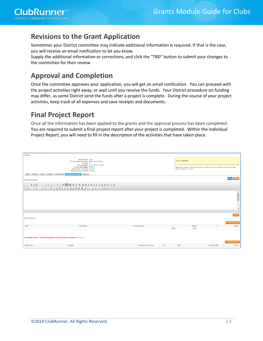# **Revisions to the Grant Application**

Sometimes your District committee may indicate additional information is required. If that is the case, you will receive an email notification to let you know.

Supply the additional information or corrections, and click the "TBD" button to submit your changes to the committee for their review

# **Approval and Completion**

Once the committee approves your application, you will get an email notification. You can proceed with the project activities right away, or wait until you receive the funds. Your District procedure on funding may differ, as some District send the funds after a project is complete. During the course of your project activities, keep track of all expenses and save receipts and documents.

## **Final Project Report**

Once all the information has been applied to the grants and the approval process has been completed. You are required to submit a final project report after your project is completed. Within the Individual Project Report, you will need to fill in the description of the activities that have taken place.

| Coats                                             |                                                                                                                                                                                                                                                                                                                                                                                                                                                    |                              |        |                                                                                                                                                                |                          |                                     |
|---------------------------------------------------|----------------------------------------------------------------------------------------------------------------------------------------------------------------------------------------------------------------------------------------------------------------------------------------------------------------------------------------------------------------------------------------------------------------------------------------------------|------------------------------|--------|----------------------------------------------------------------------------------------------------------------------------------------------------------------|--------------------------|-------------------------------------|
|                                                   | Grant Project: Coats<br>Primary Sponsoring Club: Rotary Club of Heights<br>Contact: M<br>Date Submitted: Aug 21, 2013 at 4:55 PM<br>Project Total Budget: \$2,000.00<br>Project Total Financing: \$2,000.00<br>Requested Grant Amount: \$1,000.00                                                                                                                                                                                                  |                              |        | <b>Status: Completed</b><br>Please note, updates to the project and grant information cannot be made after the status has been<br>marked completed or archived |                          |                                     |
| Details Application<br>Budget<br><b>Documents</b> | Activity Log<br>Project Overview<br>Individual Project Report                                                                                                                                                                                                                                                                                                                                                                                      |                              |        |                                                                                                                                                                |                          |                                     |
| <b>Project Description</b>                        |                                                                                                                                                                                                                                                                                                                                                                                                                                                    |                              |        |                                                                                                                                                                |                          | Submit<br>Print.                    |
|                                                   | $\textbf{X} \odot \textbf{B} \textbf{B} \textbf{B}   \textbf{A} \rightarrow \textbf{B} \textbf{B}   \textbf{B} \rightarrow \textbf{B} \textbf{B}   \textbf{B} \rightarrow \textbf{B} \textbf{B}   \textbf{B} \textbf{B}   \textbf{C} \textbf{B} \textbf{B}   \textbf{A} \textbf{B} \textbf{B}   \textbf{A} \textbf{B} \textbf{B}   \textbf{A} \textbf{B} \textbf{B}   \textbf{A} \textbf{B} \textbf{B}   \textbf{A} \textbf{B} \textbf{B}   \text$ |                              |        |                                                                                                                                                                |                          |                                     |
| Format - Fort                                     |                                                                                                                                                                                                                                                                                                                                                                                                                                                    |                              |        |                                                                                                                                                                |                          |                                     |
|                                                   |                                                                                                                                                                                                                                                                                                                                                                                                                                                    |                              |        |                                                                                                                                                                |                          | $\Delta$<br>$\equiv$                |
|                                                   |                                                                                                                                                                                                                                                                                                                                                                                                                                                    |                              |        |                                                                                                                                                                |                          | $\mathbf{v}$                        |
|                                                   |                                                                                                                                                                                                                                                                                                                                                                                                                                                    |                              |        |                                                                                                                                                                |                          |                                     |
| <b>Financial Report</b>                           |                                                                                                                                                                                                                                                                                                                                                                                                                                                    |                              |        |                                                                                                                                                                |                          | Update                              |
| Date                                              | <b>Description</b>                                                                                                                                                                                                                                                                                                                                                                                                                                 | <b>Funding Source</b>        |        | Amount                                                                                                                                                         | 96                       | @ Add Income Item<br><b>Actions</b> |
|                                                   |                                                                                                                                                                                                                                                                                                                                                                                                                                                    |                              | Total: | \$0.00                                                                                                                                                         | $\overline{\phantom{a}}$ |                                     |
|                                                   | All expense items. Please be specific and add lines as needed. Edit Help Text                                                                                                                                                                                                                                                                                                                                                                      |                              |        |                                                                                                                                                                |                          | @ Add Expense Item                  |
| <b>Description</b>                                | Supplier                                                                                                                                                                                                                                                                                                                                                                                                                                           | <b>Local Amount Currency</b> | Tax    | Total                                                                                                                                                          | Amount (USD)             | Actions                             |
|                                                   |                                                                                                                                                                                                                                                                                                                                                                                                                                                    |                              |        |                                                                                                                                                                |                          |                                     |